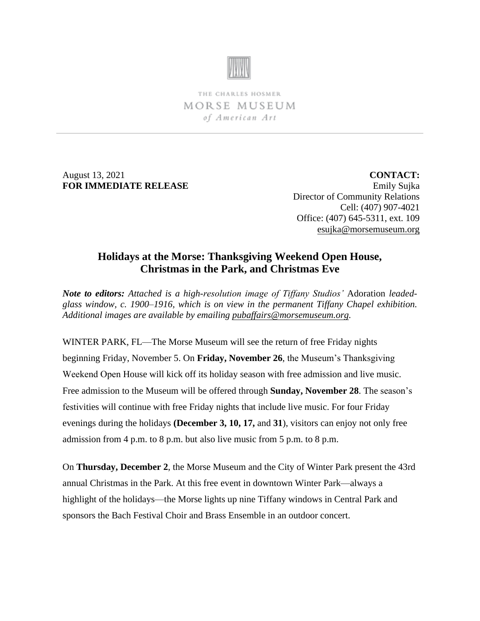

THE CHARLES HOSMER MORSE MUSEUM of American Art

August 13, 2021 **FOR IMMEDIATE RELEASE**

**CONTACT:** Emily Sujka Director of Community Relations Cell: (407) 907-4021 Office: (407) 645-5311, ext. 109 [esujka@morsemuseum.org](mailto:esujka@morsemuseum.org)

# **Holidays at the Morse: Thanksgiving Weekend Open House, Christmas in the Park, and Christmas Eve**

*Note to editors: Attached is a high-resolution image of Tiffany Studios'* Adoration *leadedglass window, c. 1900–1916, which is on view in the permanent Tiffany Chapel exhibition. Additional images are available by emailin[g pubaffairs@morsemuseum.org.](mailto:pubaffairs@morsemuseum.org)*

WINTER PARK, FL—The Morse Museum will see the return of free Friday nights beginning Friday, November 5. On **Friday, November 26**, the Museum's Thanksgiving Weekend Open House will kick off its holiday season with free admission and live music. Free admission to the Museum will be offered through **Sunday, November 28**. The season's festivities will continue with free Friday nights that include live music. For four Friday evenings during the holidays **(December 3, 10, 17,** and **31**), visitors can enjoy not only free admission from 4 p.m. to 8 p.m. but also live music from 5 p.m. to 8 p.m.

On **Thursday, December 2**, the Morse Museum and the City of Winter Park present the 43rd annual Christmas in the Park. At this free event in downtown Winter Park—always a highlight of the holidays—the Morse lights up nine Tiffany windows in Central Park and sponsors the Bach Festival Choir and Brass Ensemble in an outdoor concert.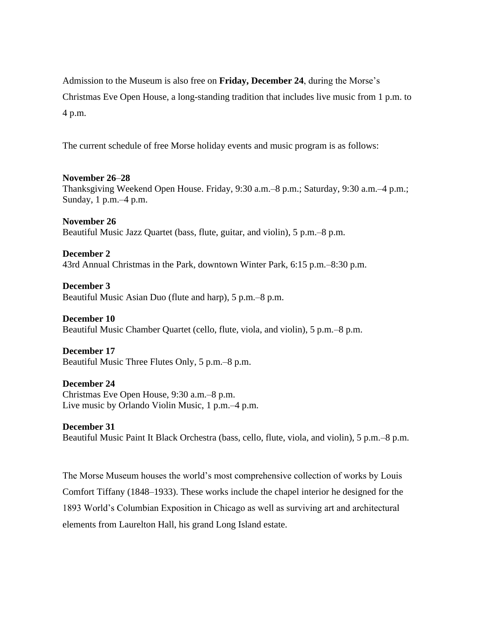Admission to the Museum is also free on **Friday, December 24**, during the Morse's Christmas Eve Open House, a long-standing tradition that includes live music from 1 p.m. to 4 p.m.

The current schedule of free Morse holiday events and music program is as follows:

#### **November 26**–**28**

Thanksgiving Weekend Open House. Friday, 9:30 a.m.–8 p.m.; Saturday, 9:30 a.m.–4 p.m.; Sunday, 1 p.m.–4 p.m.

**November 26** Beautiful Music Jazz Quartet (bass, flute, guitar, and violin), 5 p.m.–8 p.m.

### **December 2**  43rd Annual Christmas in the Park, downtown Winter Park, 6:15 p.m.–8:30 p.m.

**December 3**  Beautiful Music Asian Duo (flute and harp), 5 p.m.–8 p.m.

#### **December 10**

Beautiful Music Chamber Quartet (cello, flute, viola, and violin), 5 p.m.–8 p.m.

#### **December 17**

Beautiful Music Three Flutes Only, 5 p.m.–8 p.m.

## **December 24**

Christmas Eve Open House, 9:30 a.m.–8 p.m. Live music by Orlando Violin Music, 1 p.m.–4 p.m.

#### **December 31**

Beautiful Music Paint It Black Orchestra (bass, cello, flute, viola, and violin), 5 p.m.–8 p.m.

The Morse Museum houses the world's most comprehensive collection of works by Louis Comfort Tiffany (1848–1933). These works include the chapel interior he designed for the 1893 World's Columbian Exposition in Chicago as well as surviving art and architectural elements from Laurelton Hall, his grand Long Island estate.